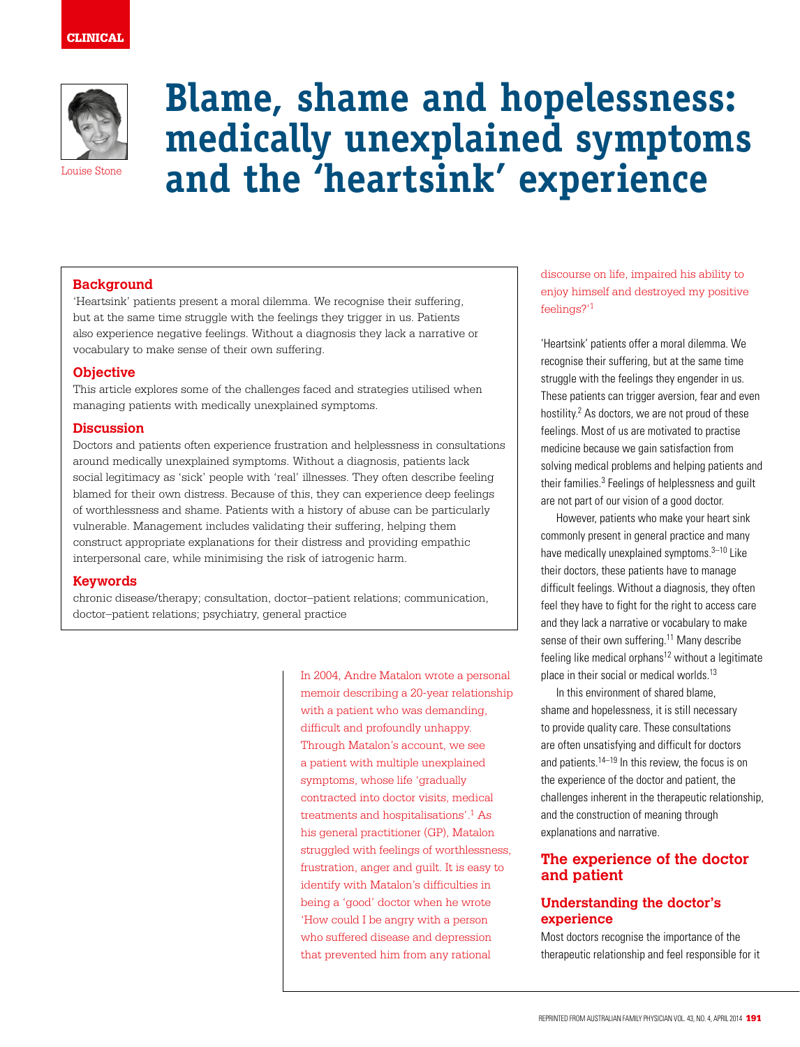

# **Blame, shame and hopelessness: medically unexplained symptoms Louise Stone** and the 'heartsink' experience

#### **Background**

'Heartsink' patients present a moral dilemma. We recognise their suffering, but at the same time struggle with the feelings they trigger in us. Patients also experience negative feelings. Without a diagnosis they lack a narrative or vocabulary to make sense of their own suffering.

#### **Objective**

This article explores some of the challenges faced and strategies utilised when managing patients with medically unexplained symptoms.

#### **Discussion**

Doctors and patients often experience frustration and helplessness in consultations around medically unexplained symptoms. Without a diagnosis, patients lack social legitimacy as 'sick' people with 'real' illnesses. They often describe feeling blamed for their own distress. Because of this, they can experience deep feelings of worthlessness and shame. Patients with a history of abuse can be particularly vulnerable. Management includes validating their suffering, helping them construct appropriate explanations for their distress and providing empathic interpersonal care, while minimising the risk of iatrogenic harm.

#### **Keywords**

chronic disease/therapy; consultation, doctor–patient relations; communication, doctor–patient relations; psychiatry, general practice

> In 2004, Andre Matalon wrote a personal memoir describing a 20-year relationship with a patient who was demanding, difficult and profoundly unhappy. Through Matalon's account, we see a patient with multiple unexplained symptoms, whose life 'gradually contracted into doctor visits, medical treatments and hospitalisations'.1 As his general practitioner (GP), Matalon struggled with feelings of worthlessness, frustration, anger and guilt. It is easy to identify with Matalon's difficulties in being a 'good' doctor when he wrote 'How could I be angry with a person who suffered disease and depression that prevented him from any rational

discourse on life, impaired his ability to enjoy himself and destroyed my positive feelings?'1

'Heartsink' patients offer a moral dilemma. We recognise their suffering, but at the same time struggle with the feelings they engender in us. These patients can trigger aversion, fear and even hostility.2 As doctors, we are not proud of these feelings. Most of us are motivated to practise medicine because we gain satisfaction from solving medical problems and helping patients and their families.<sup>3</sup> Feelings of helplessness and guilt are not part of our vision of a good doctor.

However, patients who make your heart sink commonly present in general practice and many have medically unexplained symptoms.<sup>3–10</sup> Like their doctors, these patients have to manage difficult feelings. Without a diagnosis, they often feel they have to fight for the right to access care and they lack a narrative or vocabulary to make sense of their own suffering.<sup>11</sup> Many describe feeling like medical orphans $12$  without a legitimate place in their social or medical worlds.<sup>13</sup>

In this environment of shared blame, shame and hopelessness, it is still necessary to provide quality care. These consultations are often unsatisfying and difficult for doctors and patients.14–19 In this review, the focus is on the experience of the doctor and patient, the challenges inherent in the therapeutic relationship, and the construction of meaning through explanations and narrative.

## **The experience of the doctor and patient**

## **Understanding the doctor's experience**

Most doctors recognise the importance of the therapeutic relationship and feel responsible for it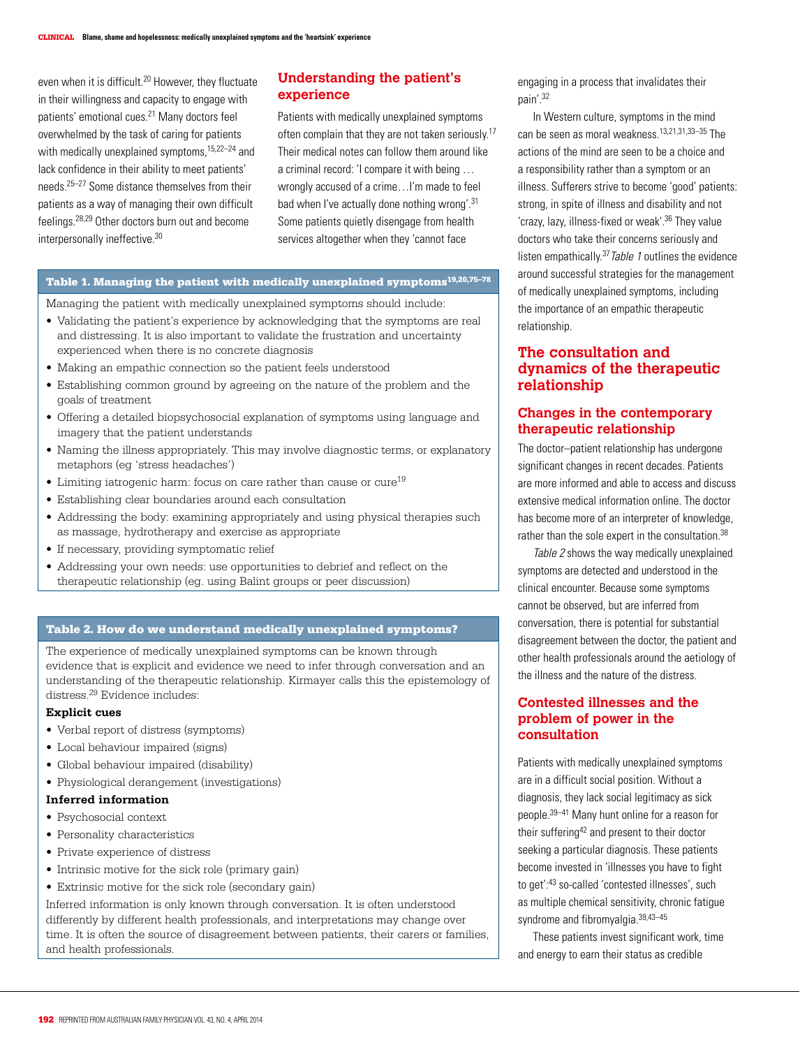even when it is difficult<sup>20</sup> However, they fluctuate in their willingness and capacity to engage with patients' emotional cues.21 Many doctors feel overwhelmed by the task of caring for patients with medically unexplained symptoms, <sup>15,22–24</sup> and lack confidence in their ability to meet patients' needs<sup>25–27</sup> Some distance themselves from their patients as a way of managing their own difficult feelings.28,29 Other doctors burn out and become interpersonally ineffective.30

## **Understanding the patient's experience**

Patients with medically unexplained symptoms often complain that they are not taken seriously.<sup>17</sup> Their medical notes can follow them around like a criminal record: 'I compare it with being … wrongly accused of a crime…I'm made to feel bad when I've actually done nothing wrong'.31 Some patients quietly disengage from health services altogether when they 'cannot face

## Table 1. Managing the patient with medically unexplained symptoms<sup>19,20,75-78</sup>

Managing the patient with medically unexplained symptoms should include:

- Validating the patient's experience by acknowledging that the symptoms are real and distressing. It is also important to validate the frustration and uncertainty experienced when there is no concrete diagnosis
- Making an empathic connection so the patient feels understood
- Establishing common ground by agreeing on the nature of the problem and the goals of treatment
- Offering a detailed biopsychosocial explanation of symptoms using language and imagery that the patient understands
- Naming the illness appropriately. This may involve diagnostic terms, or explanatory metaphors (eg 'stress headaches')
- $\bullet$  Limiting iatrogenic harm: focus on care rather than cause or cure<sup>19</sup>
- Establishing clear boundaries around each consultation
- Addressing the body: examining appropriately and using physical therapies such as massage, hydrotherapy and exercise as appropriate
- If necessary, providing symptomatic relief
- Addressing your own needs: use opportunities to debrief and reflect on the therapeutic relationship (eg. using Balint groups or peer discussion)

#### Table 2. How do we understand medically unexplained symptoms?

The experience of medically unexplained symptoms can be known through evidence that is explicit and evidence we need to infer through conversation and an understanding of the therapeutic relationship. Kirmayer calls this the epistemology of distress.29 Evidence includes:

#### **Explicit cues**

- Verbal report of distress (symptoms)
- Local behaviour impaired (signs)
- Global behaviour impaired (disability)
- Physiological derangement (investigations)

#### **Inferred information**

- Psychosocial context
- Personality characteristics
- Private experience of distress
- Intrinsic motive for the sick role (primary gain)
- Extrinsic motive for the sick role (secondary gain)

Inferred information is only known through conversation. It is often understood differently by different health professionals, and interpretations may change over time. It is often the source of disagreement between patients, their carers or families, and health professionals.

engaging in a process that invalidates their pain'.32

In Western culture, symptoms in the mind can be seen as moral weakness.13,21,31,33–35 The actions of the mind are seen to be a choice and a responsibility rather than a symptom or an illness. Sufferers strive to become 'good' patients: strong, in spite of illness and disability and not 'crazy, lazy, illness-fixed or weak'.36 They value doctors who take their concerns seriously and listen empathically.<sup>37</sup> Table 1 outlines the evidence around successful strategies for the management of medically unexplained symptoms, including the importance of an empathic therapeutic relationship.

## **The consultation and dynamics of the therapeutic relationship**

## **Changes in the contemporary therapeutic relationship**

The doctor–patient relationship has undergone significant changes in recent decades. Patients are more informed and able to access and discuss extensive medical information online. The doctor has become more of an interpreter of knowledge, rather than the sole expert in the consultation.<sup>38</sup>

Table 2 shows the way medically unexplained symptoms are detected and understood in the clinical encounter. Because some symptoms cannot be observed, but are inferred from conversation, there is potential for substantial disagreement between the doctor, the patient and other health professionals around the aetiology of the illness and the nature of the distress.

#### **Contested illnesses and the problem of power in the consultation**

Patients with medically unexplained symptoms are in a difficult social position. Without a diagnosis, they lack social legitimacy as sick people.39–41 Many hunt online for a reason for their suffering42 and present to their doctor seeking a particular diagnosis. These patients become invested in 'illnesses you have to fight to get':43 so-called 'contested illnesses', such as multiple chemical sensitivity, chronic fatigue syndrome and fibromyalgia.<sup>39,43-45</sup>

These patients invest significant work, time and energy to earn their status as credible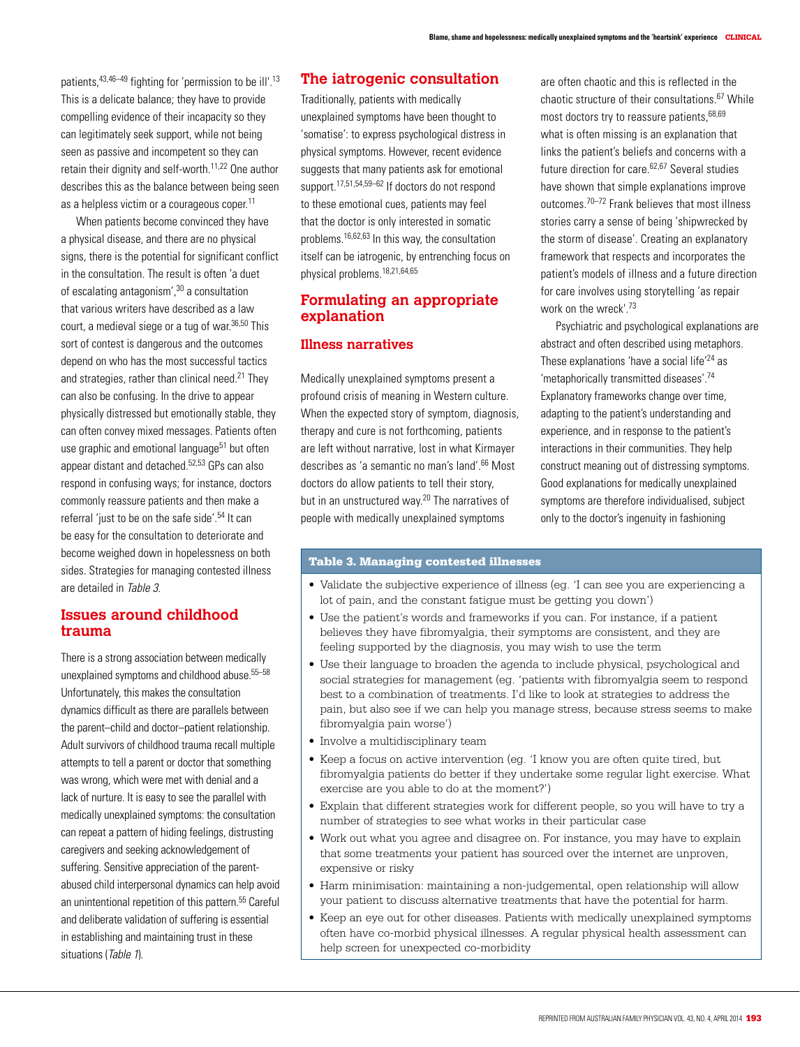patients,43,46–49 fighting for 'permission to be ill'.13 This is a delicate balance; they have to provide compelling evidence of their incapacity so they can legitimately seek support, while not being seen as passive and incompetent so they can retain their dignity and self-worth.11,22 One author describes this as the balance between being seen as a helpless victim or a courageous coper.<sup>11</sup>

When patients become convinced they have a physical disease, and there are no physical signs, there is the potential for significant conflict in the consultation. The result is often 'a duet of escalating antagonism',30 a consultation that various writers have described as a law court, a medieval siege or a tug of war.36,50 This sort of contest is dangerous and the outcomes depend on who has the most successful tactics and strategies, rather than clinical need.<sup>21</sup> They can also be confusing. In the drive to appear physically distressed but emotionally stable, they can often convey mixed messages. Patients often use graphic and emotional language<sup>51</sup> but often appear distant and detached.52,53 GPs can also respond in confusing ways; for instance, doctors commonly reassure patients and then make a referral 'just to be on the safe side'.<sup>54</sup> It can be easy for the consultation to deteriorate and become weighed down in hopelessness on both sides. Strategies for managing contested illness are detailed in Table 3.

## **Issues around childhood trauma**

There is a strong association between medically unexplained symptoms and childhood abuse.55–58 Unfortunately, this makes the consultation dynamics difficult as there are parallels between the parent–child and doctor–patient relationship. Adult survivors of childhood trauma recall multiple attempts to tell a parent or doctor that something was wrong, which were met with denial and a lack of nurture. It is easy to see the parallel with medically unexplained symptoms: the consultation can repeat a pattern of hiding feelings, distrusting caregivers and seeking acknowledgement of suffering. Sensitive appreciation of the parentabused child interpersonal dynamics can help avoid an unintentional repetition of this pattern.<sup>55</sup> Careful and deliberate validation of suffering is essential in establishing and maintaining trust in these situations (Table 1).

## **The iatrogenic consultation**

Traditionally, patients with medically unexplained symptoms have been thought to 'somatise': to express psychological distress in physical symptoms. However, recent evidence suggests that many patients ask for emotional support.17,51,54,59–62 If doctors do not respond to these emotional cues, patients may feel that the doctor is only interested in somatic problems.16,62,63 In this way, the consultation itself can be iatrogenic, by entrenching focus on physical problems.18,21,64,65

## **Formulating an appropriate explanation**

#### **Illness narratives**

Medically unexplained symptoms present a profound crisis of meaning in Western culture. When the expected story of symptom, diagnosis, therapy and cure is not forthcoming, patients are left without narrative, lost in what Kirmayer describes as 'a semantic no man's land'.66 Most doctors do allow patients to tell their story, but in an unstructured way.<sup>20</sup> The narratives of people with medically unexplained symptoms

are often chaotic and this is reflected in the chaotic structure of their consultations.67 While most doctors try to reassure patients, 68,69 what is often missing is an explanation that links the patient's beliefs and concerns with a future direction for care.62,67 Several studies have shown that simple explanations improve outcomes.70–72 Frank believes that most illness stories carry a sense of being 'shipwrecked by the storm of disease'. Creating an explanatory framework that respects and incorporates the patient's models of illness and a future direction for care involves using storytelling 'as repair work on the wreck'.73

Psychiatric and psychological explanations are abstract and often described using metaphors. These explanations 'have a social life'24 as 'metaphorically transmitted diseases'.74 Explanatory frameworks change over time, adapting to the patient's understanding and experience, and in response to the patient's interactions in their communities. They help construct meaning out of distressing symptoms. Good explanations for medically unexplained symptoms are therefore individualised, subject only to the doctor's ingenuity in fashioning

#### Table 3. Managing contested illnesses

- Validate the subjective experience of illness (eg. 'I can see you are experiencing a lot of pain, and the constant fatigue must be getting you down')
- Use the patient's words and frameworks if you can. For instance, if a patient believes they have fibromyalgia, their symptoms are consistent, and they are feeling supported by the diagnosis, you may wish to use the term
- Use their language to broaden the agenda to include physical, psychological and social strategies for management (eg. 'patients with fibromyalgia seem to respond best to a combination of treatments. I'd like to look at strategies to address the pain, but also see if we can help you manage stress, because stress seems to make fibromyalgia pain worse')
- Involve a multidisciplinary team
- Keep a focus on active intervention (eg. 'I know you are often quite tired, but fibromyalgia patients do better if they undertake some regular light exercise. What exercise are you able to do at the moment?')
- Explain that different strategies work for different people, so you will have to try a number of strategies to see what works in their particular case
- Work out what you agree and disagree on. For instance, you may have to explain that some treatments your patient has sourced over the internet are unproven, expensive or risky
- Harm minimisation: maintaining a non-judgemental, open relationship will allow your patient to discuss alternative treatments that have the potential for harm.
- Keep an eye out for other diseases. Patients with medically unexplained symptoms often have co-morbid physical illnesses. A regular physical health assessment can help screen for unexpected co-morbidity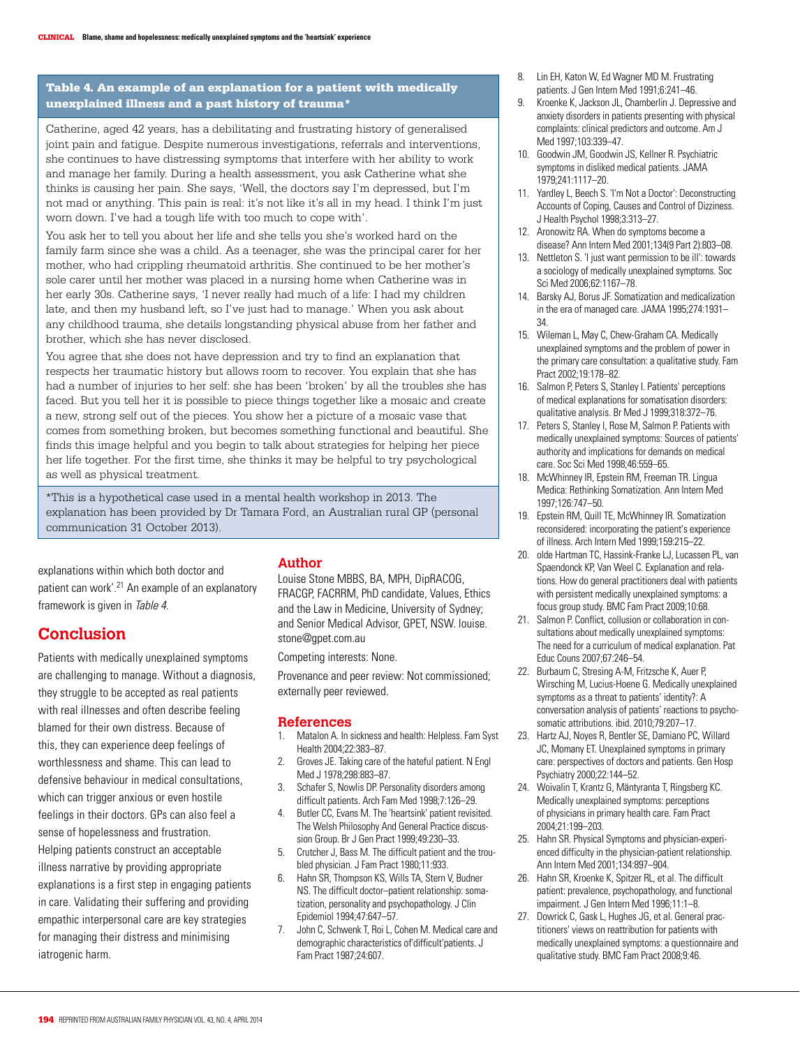#### Table 4. An example of an explanation for a patient with medically unexplained illness and a past history of trauma\*

Catherine, aged 42 years, has a debilitating and frustrating history of generalised joint pain and fatigue. Despite numerous investigations, referrals and interventions, she continues to have distressing symptoms that interfere with her ability to work and manage her family. During a health assessment, you ask Catherine what she thinks is causing her pain. She says, 'Well, the doctors say I'm depressed, but I'm not mad or anything. This pain is real: it's not like it's all in my head. I think I'm just worn down. I've had a tough life with too much to cope with'.

You ask her to tell you about her life and she tells you she's worked hard on the family farm since she was a child. As a teenager, she was the principal carer for her mother, who had crippling rheumatoid arthritis. She continued to be her mother's sole carer until her mother was placed in a nursing home when Catherine was in her early 30s. Catherine says, 'I never really had much of a life: I had my children late, and then my husband left, so I've just had to manage.' When you ask about any childhood trauma, she details longstanding physical abuse from her father and brother, which she has never disclosed.

You agree that she does not have depression and try to find an explanation that respects her traumatic history but allows room to recover. You explain that she has had a number of injuries to her self: she has been 'broken' by all the troubles she has faced. But you tell her it is possible to piece things together like a mosaic and create a new, strong self out of the pieces. You show her a picture of a mosaic vase that comes from something broken, but becomes something functional and beautiful. She finds this image helpful and you begin to talk about strategies for helping her piece her life together. For the first time, she thinks it may be helpful to try psychological as well as physical treatment.

\*This is a hypothetical case used in a mental health workshop in 2013. The explanation has been provided by Dr Tamara Ford, an Australian rural GP (personal communication 31 October 2013).

explanations within which both doctor and patient can work'.<sup>21</sup> An example of an explanatory framework is given in Table 4.

## **Conclusion**

Patients with medically unexplained symptoms are challenging to manage. Without a diagnosis, they struggle to be accepted as real patients with real illnesses and often describe feeling blamed for their own distress. Because of this, they can experience deep feelings of worthlessness and shame. This can lead to defensive behaviour in medical consultations, which can trigger anxious or even hostile feelings in their doctors. GPs can also feel a sense of hopelessness and frustration. Helping patients construct an acceptable illness narrative by providing appropriate explanations is a first step in engaging patients in care. Validating their suffering and providing empathic interpersonal care are key strategies for managing their distress and minimising iatrogenic harm.

#### **Author**

Louise Stone MBBS, BA, MPH, DipRACOG, FRACGP, FACRRM, PhD candidate, Values, Ethics and the Law in Medicine, University of Sydney; and Senior Medical Advisor, GPET, NSW. louise. stone@gpet.com.au

Competing interests: None.

Provenance and peer review: Not commissioned; externally peer reviewed.

#### **References**

- 1. Matalon A. In sickness and health: Helpless. Fam Syst Health 2004;22:383–87.
- 2. Groves JE. Taking care of the hateful patient. N Engl Med J 1978;298:883–87.
- 3. Schafer S, Nowlis DP. Personality disorders among difficult patients. Arch Fam Med 1998;7:126–29.
- 4. Butler CC, Evans M. The 'heartsink' patient revisited. The Welsh Philosophy And General Practice discussion Group. Br J Gen Pract 1999;49:230–33.
- 5. Crutcher J, Bass M. The difficult patient and the troubled physician. J Fam Pract 1980;11:933.
- 6. Hahn SR, Thompson KS, Wills TA, Stern V, Budner NS. The difficult doctor–patient relationship: somatization, personality and psychopathology. J Clin Epidemiol 1994;47:647–57.
- 7. John C, Schwenk T, Roi L, Cohen M. Medical care and demographic characteristics of'difficult'patients. J Fam Pract 1987;24:607.
- 8. Lin EH, Katon W, Ed Wagner MD M. Frustrating patients. J Gen Intern Med 1991;6:241–46.
- 9. Kroenke K, Jackson JL, Chamberlin J. Depressive and anxiety disorders in patients presenting with physical complaints: clinical predictors and outcome. Am J Med 1997:103:339-47
- 10. Goodwin JM, Goodwin JS, Kellner R. Psychiatric symptoms in disliked medical patients. JAMA 1979;241:1117–20.
- 11. Yardley L, Beech S. 'I'm Not a Doctor': Deconstructing Accounts of Coping, Causes and Control of Dizziness. J Health Psychol 1998;3:313–27.
- 12. Aronowitz RA. When do symptoms become a disease? Ann Intern Med 2001;134(9 Part 2):803–08.
- 13. Nettleton S. 'I just want permission to be ill': towards a sociology of medically unexplained symptoms. Soc Sci Med 2006;62:1167–78.
- 14. Barsky AJ, Borus JF. Somatization and medicalization in the era of managed care. JAMA 1995;274:1931– 34.
- 15. Wileman L, May C, Chew-Graham CA. Medically unexplained symptoms and the problem of power in the primary care consultation: a qualitative study. Fam Pract 2002;19:178–82.
- 16. Salmon P, Peters S, Stanley I. Patients' perceptions of medical explanations for somatisation disorders: qualitative analysis. Br Med J 1999;318:372–76.
- 17. Peters S, Stanley I, Rose M, Salmon P. Patients with medically unexplained symptoms: Sources of patients' authority and implications for demands on medical care. Soc Sci Med 1998;46:559–65.
- 18. McWhinney IR, Epstein RM, Freeman TR. Lingua Medica: Rethinking Somatization. Ann Intern Med 1997;126:747–50.
- 19. Epstein RM, Quill TE, McWhinney IR. Somatization reconsidered: incorporating the patient's experience of illness. Arch Intern Med 1999;159:215–22.
- 20. olde Hartman TC, Hassink-Franke LJ, Lucassen PL, van Spaendonck KP, Van Weel C. Explanation and relations. How do general practitioners deal with patients with persistent medically unexplained symptoms: a focus group study. BMC Fam Pract 2009;10:68.
- 21. Salmon P. Conflict, collusion or collaboration in consultations about medically unexplained symptoms: The need for a curriculum of medical explanation. Pat Educ Couns 2007;67:246–54.
- 22. Burbaum C, Stresing A-M, Fritzsche K, Auer P, Wirsching M, Lucius-Hoene G. Medically unexplained symptoms as a threat to patients' identity?: A conversation analysis of patients' reactions to psychosomatic attributions. ibid. 2010;79:207–17.
- 23. Hartz AJ, Noyes R, Bentler SE, Damiano PC, Willard JC, Momany ET. Unexplained symptoms in primary care: perspectives of doctors and patients. Gen Hosp Psychiatry 2000;22:144–52.
- 24. Woivalin T, Krantz G, Mäntyranta T, Ringsberg KC. Medically unexplained symptoms: perceptions of physicians in primary health care. Fam Pract 2004;21:199–203.
- 25. Hahn SR. Physical Symptoms and physician-experienced difficulty in the physician-patient relationship. Ann Intern Med 2001;134:897–904.
- 26. Hahn SR, Kroenke K, Spitzer RL, et al. The difficult patient: prevalence, psychopathology, and functional impairment. J Gen Intern Med 1996;11:1–8.
- 27. Dowrick C, Gask L, Hughes JG, et al. General practitioners' views on reattribution for patients with medically unexplained symptoms: a questionnaire and qualitative study. BMC Fam Pract 2008;9:46.